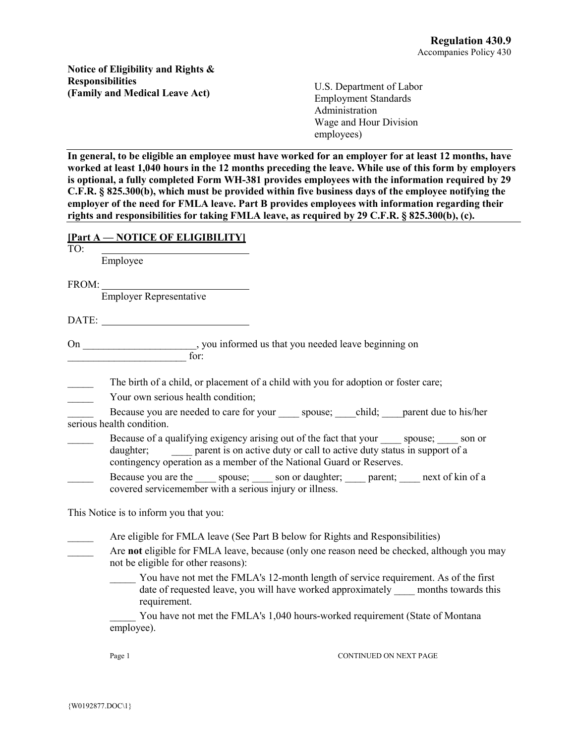**Notice of Eligibility and Rights & Responsibilities (Family and Medical Leave Act)**

U.S. Department of Labor Employment Standards Administration Wage and Hour Division employees)

**In general, to be eligible an employee must have worked for an employer for at least 12 months, have worked at least 1,040 hours in the 12 months preceding the leave. While use of this form by employers is optional, a fully completed Form WH-381 provides employees with the information required by 29 C.F.R. § 825.300(b), which must be provided within five business days of the employee notifying the employer of the need for FMLA leave. Part B provides employees with information regarding their rights and responsibilities for taking FMLA leave, as required by 29 C.F.R. § 825.300(b), (c).**

|                                        | [Part A — NOTICE OF ELIGIBILITY]                                                                                                                                                                                                                            |
|----------------------------------------|-------------------------------------------------------------------------------------------------------------------------------------------------------------------------------------------------------------------------------------------------------------|
| TO:                                    | Employee                                                                                                                                                                                                                                                    |
| FROM: Employer Representative          |                                                                                                                                                                                                                                                             |
|                                        |                                                                                                                                                                                                                                                             |
|                                        | On ____________________, you informed us that you needed leave beginning on ________________________ for:                                                                                                                                                   |
|                                        | The birth of a child, or placement of a child with you for adoption or foster care;<br>Your own serious health condition;                                                                                                                                   |
|                                        | Because you are needed to care for your spouse; child; parent due to his/her<br>$\overline{\text{series}}$ health condition.                                                                                                                                |
|                                        | Because of a qualifying exigency arising out of the fact that your _____ spouse; ____ son or<br>parent is on active duty or call to active duty status in support of a<br>daughter;<br>contingency operation as a member of the National Guard or Reserves. |
|                                        | Because you are the spouse; son or daughter; sparent; sext of kin of a<br>covered servicemember with a serious injury or illness.                                                                                                                           |
| This Notice is to inform you that you: |                                                                                                                                                                                                                                                             |
|                                        | Are eligible for FMLA leave (See Part B below for Rights and Responsibilities)                                                                                                                                                                              |
|                                        | Are not eligible for FMLA leave, because (only one reason need be checked, although you may<br>not be eligible for other reasons):                                                                                                                          |
|                                        | You have not met the FMLA's 12-month length of service requirement. As of the first<br>date of requested leave, you will have worked approximately ____ months towards this<br>requirement.                                                                 |
|                                        | You have not met the FMLA's 1,040 hours-worked requirement (State of Montana<br>employee).                                                                                                                                                                  |
|                                        | <b>CONTINUED ON NEXT PAGE</b><br>Page 1                                                                                                                                                                                                                     |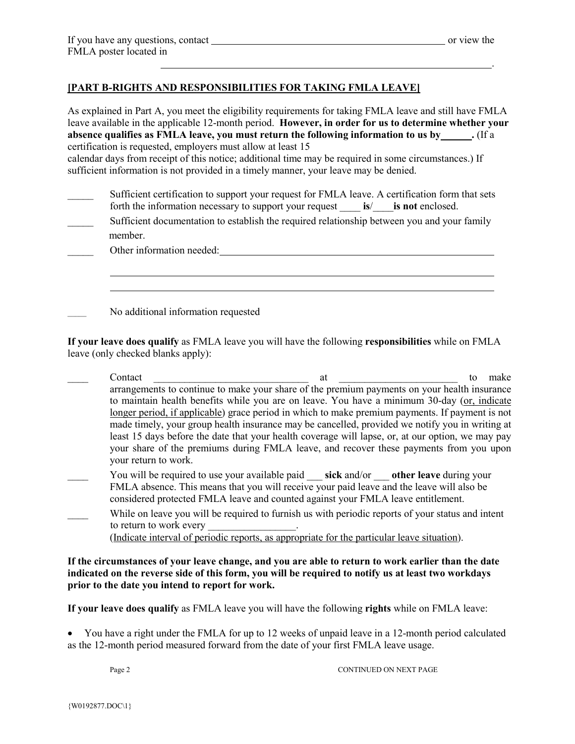.

## **[PART B-RIGHTS AND RESPONSIBILITIES FOR TAKING FMLA LEAVE]**

As explained in Part A, you meet the eligibility requirements for taking FMLA leave and still have FMLA leave available in the applicable 12-month period. **However, in order for us to determine whether your absence qualifies as FMLA leave, you must return the following information to us by .** (If a certification is requested, employers must allow at least 15 calendar days from receipt of this notice; additional time may be required in some circumstances.) If sufficient information is not provided in a timely manner, your leave may be denied. Sufficient certification to support your request for FMLA leave. A certification form that sets forth the information necessary to support your request \_\_\_\_ **is**/\_\_\_\_**is not** enclosed. Sufficient documentation to establish the required relationship between you and your family member. Other information needed: example and the state of the state of the state of the state of the state of the state of the state of the state of the state of the state of the state of the state of the state of the state of th 

No additional information requested

**If your leave does qualify** as FMLA leave you will have the following **responsibilities** while on FMLA leave (only checked blanks apply):

- contact contact to make the contact  $\overline{a}$  at  $\overline{a}$  to make arrangements to continue to make your share of the premium payments on your health insurance to maintain health benefits while you are on leave. You have a minimum 30-day (or, indicate longer period, if applicable) grace period in which to make premium payments. If payment is not made timely, your group health insurance may be cancelled, provided we notify you in writing at least 15 days before the date that your health coverage will lapse, or, at our option, we may pay your share of the premiums during FMLA leave, and recover these payments from you upon your return to work. You will be required to use your available paid sick and/or other leave during your
- FMLA absence. This means that you will receive your paid leave and the leave will also be considered protected FMLA leave and counted against your FMLA leave entitlement.
- While on leave you will be required to furnish us with periodic reports of your status and intent to return to work every

(Indicate interval of periodic reports, as appropriate for the particular leave situation).

**If the circumstances of your leave change, and you are able to return to work earlier than the date indicated on the reverse side of this form, you will be required to notify us at least two workdays prior to the date you intend to report for work.**

**If your leave does qualify** as FMLA leave you will have the following **rights** while on FMLA leave:

• You have a right under the FMLA for up to 12 weeks of unpaid leave in a 12-month period calculated as the 12-month period measured forward from the date of your first FMLA leave usage.